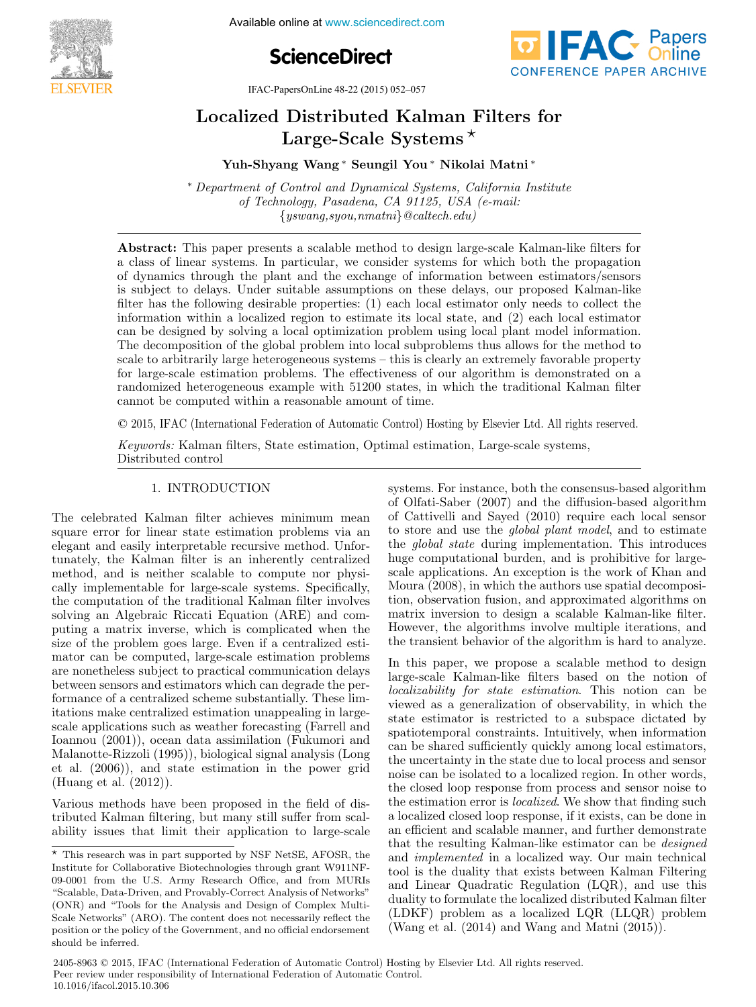

**Figure 21 Available online at www.sciencedirect.com** 





IFAC-PapersOnLine 48-22 (2015) 052–057

#### Localized Distributed Kalman Filters for Large-Scale Systems Large-Scale Systems Large-Scale Systems  $\mathcal{L}$  and  $\mathcal{L}$  and  $\mathcal{L}$  and  $\mathcal{L}$  and  $\mathcal{L}$  and  $\mathcal{L}$  and  $\mathcal{L}$  and  $\mathcal{L}$  and  $\mathcal{L}$  and  $\mathcal{L}$  and  $\mathcal{L}$  and  $\mathcal{L}$  and  $\mathcal{L}$  and  $\mathcal{L}$  and  $\mathcal{L}$  and  $\mathcal{L}$  and  $\mathcal{L}$  and Distributed Kalman  $L$  if  $\mathbf{D} \cdot \mathbf{F}$  if  $\mathbf{F}$ Localized Distributed Kalman Filters for

Yuh-Shyang Wang ∗ Seungil You ∗ Nikolai Matni ∗ Yuh-Shyang Wang ∗ Seungil You ∗ Nikolai Matni ∗ Yuh-Shyang Wang ∗ Seungil You ∗ Nikolai Matni ∗ Yuh-Shyang Wang ∗ Seungil You ∗ Nikolai Matni ∗ Yuh-Shyang Wang ∗ Seungil You ∗ Nikolai Matni ∗

of Technology, Pasadena, CA 91125, USA (e-mail: of Technology, Pasadena, CA 91125, USA (e-mail: {yswang,syou,nmatni}@caltech.edu) {yswang,syou,nmatni}@caltech.edu) of Technology, Pasadena, CA 91125, USA (e-mail:  $\frac{1}{2}$ ∗ Department of Control and Dynamical Systems, California Institute ∗ Department of Control and Dynamical Systems, California Institute  $\{yswang, syou, nmatni\}$ @caltech.edu)

{yswang,syou,nmatni}@caltech.edu)

a class of linear systems. In particular, we consider systems for which both the propagation of dynamics through the plant and the exchange of information between estimators/sensors is subject to delays. Under suitable assumptions on these delays, our proposed Kalman-like filter has the following desirable properties: (1) each local estimator only needs to collect the filter has the following desirable properties:  $(1)$  each local estimator only needs to collect the information within a localized region to estimate its local state, and  $(2)$  each local estimator can be designed by solving a local optimization problem using local plant model information. The decomposition of the global problem into local subproblems thus allows for the method to scale to arbitrarily large heterogeneous systems – this is clearly an extremely favorable property for large-scale estimation problems. The effectiveness of our algorithm is demonstrated on a randomized heterogeneous example with 51200 states, in which the traditional Kalman filter cannot be computed within a reasonable amount of time. Abstract: This paper presents a scalable method to design large-scale Kalman-like filters for Abstract: This paper presents a scalable method to design large-scale Kalman-like filters for cannot be computed within a reasonable amount of time.

© 2015, IFAC (International Federation of Automatic Control) Hosting by Elsevier Ltd. All rights reserved.  $\mathcal{L}$  (settimal filters, State estimation, Optimal estimation, Optimal estimation, Large-scale systems,  $\mathcal{L}$ 

Keywords: Kalman filters, State estimation, Optimal estimation, Large-scale systems, Distributed control Distributed control Distributed control Keywords: Kalman  $K = \frac{1}{2} K$ Keywords: Kalman filters, State estimation, Optimal estimation, Large-scale systems,

# 1. INTRODUCTION 1. INTRODUCTION 1. INTRODUCTION 1. INTRODUCTION 1. INTRODUCTION

The celebrated Kalman filter achieves minimum mean The celebrated Kalman filter achieves minimum mean<br>square error for linear state estimation problems via an elegant and easily interpretable recursive method. Unfortunately, the Kalman filter is an inherently centralized method, and is neither scalable to compute nor physically implementable for large-scale systems. Specifically, the computation of the traditional Kalman filter involves solving an Algebraic Riccati Equation (ARE) and computing a matrix inverse, which is complicated when the size of the problem goes large. Even if a centralized estimator can be computed, large-scale estimation problems are nonetheless subject to practical communication delays between sensors and estimators which can degrade the performance of a centralized scheme substantially. These limitations make centralized estimation unappealing in largescale applications such as weather forecasting (Farrell and scale applications such as weather forecasting (Farrell and<br>Ioannou (2001)), ocean data assimilation (Fukumori and<br>Malanotte-Rizzoli (1995)), biological signal analysis (Long<br>et al. (2006)), and state estimation in the pow Malanotte-Rizzoli (1995)), biological signal analysis (Long et al.  $(2006)$ , and state estimation in the power grid (Huang et al. (2012)). (Huang et al. (2012)). (Huang et al. (2012)).  $\left( \frac{1}{2} \arctan \frac{1}{2} \arctan \frac{1}{2} \arctan \frac{1}{2} \arctan \frac{1}{2} \arctan \frac{1}{2} \arctan \frac{1}{2} \arctan \frac{1}{2} \arctan \frac{1}{2} \arctan \frac{1}{2} \arctan \frac{1}{2} \arctan \frac{1}{2} \arctan \frac{1}{2} \arctan \frac{1}{2} \arctan \frac{1}{2} \arctan \frac{1}{2} \arctan \frac{1}{2} \arctan \frac{1}{2} \arctan \frac{1}{2} \arctan \frac{1}{2} \$  $T$  celebrated  $T$  celebrated  $\tilde{C}$  minimum means  $\tilde{C}$ The celebrated Kalman filter achieves minimum mean

Various methods have been proposed in the field of distributed Kalman filtering, but many still suffer from scalability issues that limit their application to large-scale Various methods have been proposed in the field of dis- $\begin{array}{ccc} \text{V} & \text{V} & \text{V} & \text{V} & \text{V} & \text{V} & \text{V} & \text{V} & \text{V} & \text{V} & \text{V} & \text{V} & \text{V} & \text{V} & \text{V} & \text{V} & \text{V} & \text{V} & \text{V} & \text{V} & \text{V} & \text{V} & \text{V} & \text{V} & \text{V} & \text{V} & \text{V} & \text{V} & \text{V} & \text{V} & \text{V} & \text{V} & \text{V} & \text{V} & \text{V} & \text{$ Various methods have been proposed in the field of disability issues that limit their application to large-scale ability issues that limit their application to large-scale systems. For instance, both the consensus-based algorithm of Olfati-Saber  $(2007)$  and the diffusion-based algorithm of Cattivelli and Sayed (2010) require each local sensor to store and use the *global plant model*, and to estimate the *global state* during implementation. This introduces huge computational burden, and is prohibitive for largescale applications. An exception is the work of Khan and Moura  $(2008)$ , in which the authors use spatial decomposition, observation fusion, and approximated algorithms on matrix inversion to design a scalable Kalman-like filter. However, the algorithms involve multiple iterations, and the transient behavior of the algorithm is hard to analyze. systems. For instance, both the consensus-based algorithm systems. For instance, both the consensus-based algorithm the transient behavior of the algorithm is hard to analyze. the transient behavior of the algorithm is hard to analyze.

In this paper, we propose a scalable method to design large-scale Kalman-like filters based on the notion of localizability for state estimation. This notion can be *localizability for state estimation*. This notion can be viewed as a generalization of observability, in which the state estimator is restricted to a subspace dictated by state estimator is restricted to a subspace dictated by<br>spatiotemporal constraints. Intuitively, when information can be shared sufficiently quickly among local estimators, the uncertainty in the state due to local process and sensor noise can be isolated to a localized region. In other words, the closed loop response from process and sensor noise to the estimation error is *localized*. We show that finding such a localized closed loop response, if it exists, can be done in an efficient and scalable manner, and further demonstrate that the resulting Kalman-like estimator can be *designed* and *implemented* in a localized way. Our main technical tool is the duality that exists between Kalman Filtering and Linear Quadratic Regulation (LQR), and use this duality to formulate the localized distributed Kalman filter  $(LDKF)$  problem as a localized  $LQR$  ( $LLQR$ ) problem  $(Wang et al. (2014) and Wang and Matni (2015)).$  $\overline{I}$  this paper, we propose a scalable method to design  $\overline{I}$ In this paper, we propose a scalable method to design

 $\overline{\text{F}}$  This research was in part supported by NSF NetSE, AFOSR, the Institute for Collaborative Biotechnologies through grant W911NF-09-0001 from the U.S. Army Research Office, and from MURIS "Scalable, Data-Driven, and Provably-Correct Analysis of Networks" (ONR) and "Tools for the Analysis and Design of Complex Multi- $\operatorname{Scale}$  Networks" (ARO). The content does not necessarily reflect the position or the policy of the Government, and no official endorsement should be inferred. should be inferred. should be inferred.  $\overline{\phantom{a}}$  This research was in part supported by NSF NetSE, AFOSR, the

<sup>2405-8963 © 2015,</sup> IFAC (International Federation of Automatic Control) Hosting by Elsevier Ltd. All rights reserved. Peer review under responsibility of International Federation of Automatic Control. 10.1016/ifacol.2015.10.306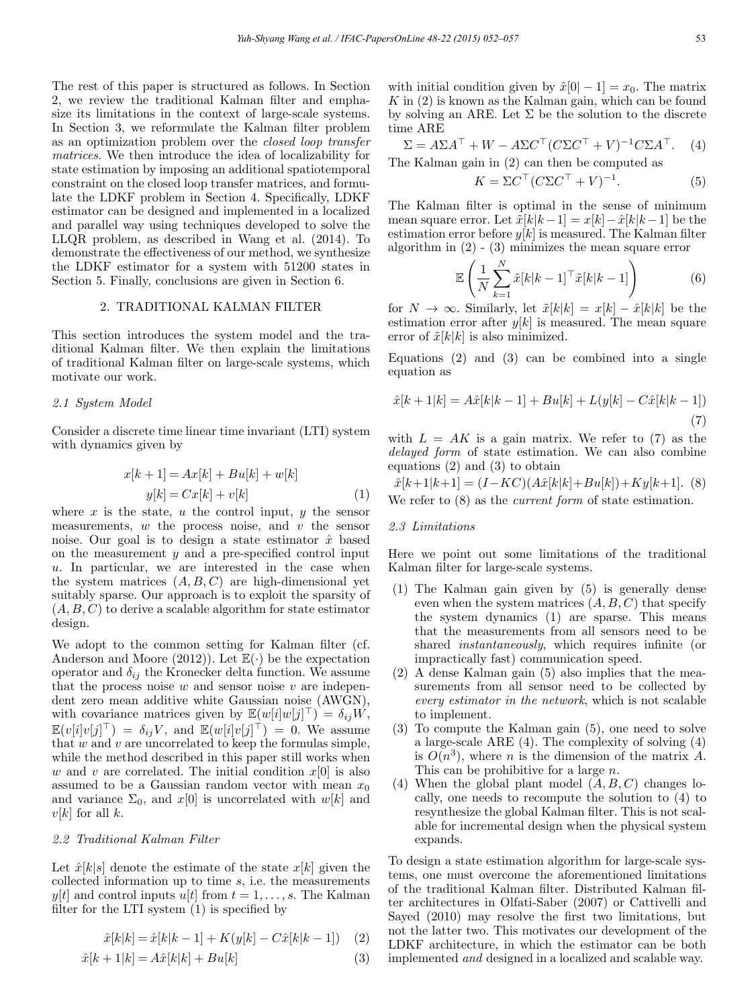The rest of this paper is structured as follows. In Section 2, we review the traditional Kalman filter and emphasize its limitations in the context of large-scale systems. In Section 3, we reformulate the Kalman filter problem as an optimization problem over the closed loop transfer matrices. We then introduce the idea of localizability for state estimation by imposing an additional spatiotemporal constraint on the closed loop transfer matrices, and formulate the LDKF problem in Section 4. Specifically, LDKF estimator can be designed and implemented in a localized and parallel way using techniques developed to solve the LLQR problem, as described in Wang et al. (2014). To demonstrate the effectiveness of our method, we synthesize the LDKF estimator for a system with 51200 states in Section 5. Finally, conclusions are given in Section 6.

# 2. TRADITIONAL KALMAN FILTER

This section introduces the system model and the traditional Kalman filter. We then explain the limitations of traditional Kalman filter on large-scale systems, which motivate our work.

### 2.1 System Model

Consider a discrete time linear time invariant (LTI) system with dynamics given by

$$
x[k+1] = Ax[k] + Bu[k] + w[k]
$$

$$
y[k] = Cx[k] + v[k] \tag{1}
$$

where  $x$  is the state,  $u$  the control input,  $y$  the sensor measurements,  $w$  the process noise, and  $v$  the sensor noise. Our goal is to design a state estimator  $\hat{x}$  based on the measurement  $y$  and a pre-specified control input u. In particular, we are interested in the case when the system matrices  $(A, B, C)$  are high-dimensional yet suitably sparse. Our approach is to exploit the sparsity of  $(A, B, C)$  to derive a scalable algorithm for state estimator design.

We adopt to the common setting for Kalman filter (cf. Anderson and Moore (2012)). Let  $\mathbb{E}(\cdot)$  be the expectation operator and  $\delta_{ij}$  the Kronecker delta function. We assume that the process noise  $w$  and sensor noise  $v$  are independent zero mean additive white Gaussian noise (AWGN), with covariance matrices given by  $\mathbb{E}(w[i]w[j]) = \delta_{ij}W$ ,  $\mathbb{E}(v[i]v[j]^\top) = \delta_{ij}V$ , and  $\mathbb{E}(w[i]v[j]^\top) = 0$ . We assume that  $w$  and  $v$  are uncorrelated to keep the formulas simple, while the method described in this paper still works when w and v are correlated. The initial condition  $x[0]$  is also assumed to be a Gaussian random vector with mean  $x_0$ and variance  $\Sigma_0$ , and  $x[0]$  is uncorrelated with  $w[k]$  and  $v[k]$  for all k.

# 2.2 Traditional Kalman Filter

Let  $\hat{x}[k|s]$  denote the estimate of the state  $x[k]$  given the collected information up to time s, i.e. the measurements y[t] and control inputs u[t] from  $t = 1, \ldots, s$ . The Kalman filter for the LTI system (1) is specified by

$$
\hat{x}[k|k] = \hat{x}[k|k-1] + K(y[k] - C\hat{x}[k|k-1]) \quad (2)
$$

$$
\hat{x}[k+1|k] = A\hat{x}[k|k] + Bu[k] \tag{3}
$$

with initial condition given by  $\hat{x}[0] - 1 = x_0$ . The matrix  $K$  in  $(2)$  is known as the Kalman gain, which can be found by solving an ARE. Let  $\Sigma$  be the solution to the discrete time ARE

$$
\Sigma = A\Sigma A^{\top} + W - A\Sigma C^{\top} (C\Sigma C^{\top} + V)^{-1} C\Sigma A^{\top}.
$$
 (4)  
The Kalman gain in (2) can then be computed as

$$
K = \Sigma C^{\top} (C\Sigma C^{\top} + V)^{-1}.
$$
 (5)

The Kalman filter is optimal in the sense of minimum mean square error. Let  $\tilde{x}[k|k-1] = x[k]-\hat{x}[k|k-1]$  be the estimation error before  $y[k]$  is measured. The Kalman filter algorithm in  $(2)$  -  $(3)$  minimizes the mean square error

$$
\mathbb{E}\left(\frac{1}{N}\sum_{k=1}^{N}\tilde{x}[k|k-1]^{\top}\tilde{x}[k|k-1]\right) \tag{6}
$$

for  $N \to \infty$ . Similarly, let  $\tilde{x}[k|k] = x[k] - \hat{x}[k|k]$  be the estimation error after  $y[k]$  is measured. The mean square error of  $\tilde{x}[k|k]$  is also minimized.

Equations (2) and (3) can be combined into a single equation as

$$
\hat{x}[k+1|k] = A\hat{x}[k|k-1] + Bu[k] + L(y[k] - C\hat{x}[k|k-1])
$$
\n(7)

with  $L = AK$  is a gain matrix. We refer to (7) as the delayed form of state estimation. We can also combine equations (2) and (3) to obtain

 $\hat{x}[k+1|k+1] = (I-KC)(A\hat{x}[k|k]+Bu[k]) + Ky[k+1].$  (8) We refer to  $(8)$  as the *current form* of state estimation.

# 2.3 Limitations

Here we point out some limitations of the traditional Kalman filter for large-scale systems.

- (1) The Kalman gain given by (5) is generally dense even when the system matrices  $(A, B, C)$  that specify the system dynamics (1) are sparse. This means that the measurements from all sensors need to be shared instantaneously, which requires infinite (or impractically fast) communication speed.
- (2) A dense Kalman gain (5) also implies that the measurements from all sensor need to be collected by every estimator in the network, which is not scalable to implement.
- (3) To compute the Kalman gain (5), one need to solve a large-scale ARE (4). The complexity of solving (4) is  $O(n^3)$ , where *n* is the dimension of the matrix A. This can be prohibitive for a large n.
- (4) When the global plant model  $(A, B, C)$  changes locally, one needs to recompute the solution to (4) to resynthesize the global Kalman filter. This is not scalable for incremental design when the physical system expands.

To design a state estimation algorithm for large-scale systems, one must overcome the aforementioned limitations of the traditional Kalman filter. Distributed Kalman filter architectures in Olfati-Saber (2007) or Cattivelli and Sayed (2010) may resolve the first two limitations, but not the latter two. This motivates our development of the LDKF architecture, in which the estimator can be both implemented and designed in a localized and scalable way.